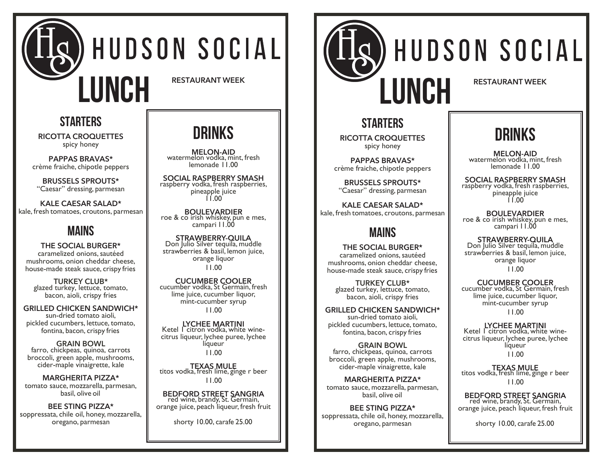# HUDSON SOCIAL

**STARTERS** 

**RICOTTA CROQUETTES** spicy honey

**PAPPAS BRAVAS\*** crème fraiche, chipotle peppers

**BRUSSELS SPROUTS\*** "Caesar" dressing, parmesan

**KALE CAESAR SALAD\*** kale, fresh tomatoes, croutons, parmesan

### **MAINS**

#### **THE SOCIAL BURGER\***

caramelized onions, sautéed mushrooms, onion cheddar cheese, house-made steak sauce, crispy fries

**TURKEY CLUB\*** glazed turkey, lettuce, tomato, bacon, aioli, crispy fries

### **GRILLED CHICKEN SANDWICH\***

sun-dried tomato aioli, pickled cucumbers, lettuce, tomato, fontina, bacon, crispy fries

#### **GRAIN BOWL**

farro, chickpeas, quinoa, carrots broccoli, green apple, mushrooms, cider-maple vinaigrette, kale

#### **MARGHERITA PIZZA\***

tomato sauce, mozzarella, parmesan, basil, olive oil

### **BEE STING PIZZA\***

soppressata, chile oil, honey, mozzarella, oregano, parmesan

LUNCH RESTAURANT WEEK



**MELON-AID** watermelon vodka, mint, fresh lemonade 11.00

**SOCIAL RASPBERRY SMASH** raspberry vodka, fresh raspberries, pineapple juice  $11.00<sup>1</sup>$ 

**BOULEVARDIER** roe & co irish whiskey, pun e mes, campari 11.00

**STRAWBERRY-QUILA** Don Julio Silver tequila, muddle strawberries & basil, lemon juice, orange liquor 11.00

**CUCUMBER COOLER** cucumber vodka, St Germain, fresh lime juice, cucumber liquor, mint-cucumber syrup 11.00

**LYCHEE MARTINI**  Ketel 1 citron vodka, white winecitrus liqueur, lychee puree, lychee liqueur 11.00

**TEXAS MULE** titos vodka, fresh lime, ginge r beer 11.00

**BEDFORD STREET SANGRIA**  red wine, brandy, St. Germain, orange juice, peach liqueur, fresh fruit

shorty 10.00, carafe 25.00